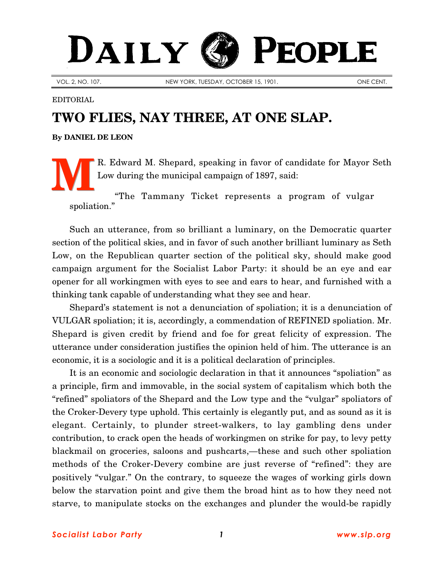## DAILY PEOPLE

VOL. 2, NO. 107. NEW YORK, TUESDAY, OCTOBER 15, 1901. New YORK, TUESDAY, OCTOBER 15, 1901.

EDITORIAL

## **TWO FLIES, NAY THREE, AT ONE SLAP.**

**By [DANIEL DE LEON](http://www.slp.org/De_Leon.htm)**

R. Edward M. Shepard, speaking in favor of candidate for Mayor Seth Low during the municipal campaign of 1897, said: **M**

"The Tammany Ticket represents a program of vulgar spoliation."

Such an utterance, from so brilliant a luminary, on the Democratic quarter section of the political skies, and in favor of such another brilliant luminary as Seth Low, on the Republican quarter section of the political sky, should make good campaign argument for the Socialist Labor Party: it should be an eye and ear opener for all workingmen with eyes to see and ears to hear, and furnished with a thinking tank capable of understanding what they see and hear.

Shepard's statement is not a denunciation of spoliation; it is a denunciation of VULGAR spoliation; it is, accordingly, a commendation of REFINED spoliation. Mr. Shepard is given credit by friend and foe for great felicity of expression. The utterance under consideration justifies the opinion held of him. The utterance is an economic, it is a sociologic and it is a political declaration of principles.

It is an economic and sociologic declaration in that it announces "spoliation" as a principle, firm and immovable, in the social system of capitalism which both the "refined" spoliators of the Shepard and the Low type and the "vulgar" spoliators of the Croker-Devery type uphold. This certainly is elegantly put, and as sound as it is elegant. Certainly, to plunder street-walkers, to lay gambling dens under contribution, to crack open the heads of workingmen on strike for pay, to levy petty blackmail on groceries, saloons and pushcarts,—these and such other spoliation methods of the Croker-Devery combine are just reverse of "refined": they are positively "vulgar." On the contrary, to squeeze the wages of working girls down below the starvation point and give them the broad hint as to how they need not starve, to manipulate stocks on the exchanges and plunder the would-be rapidly